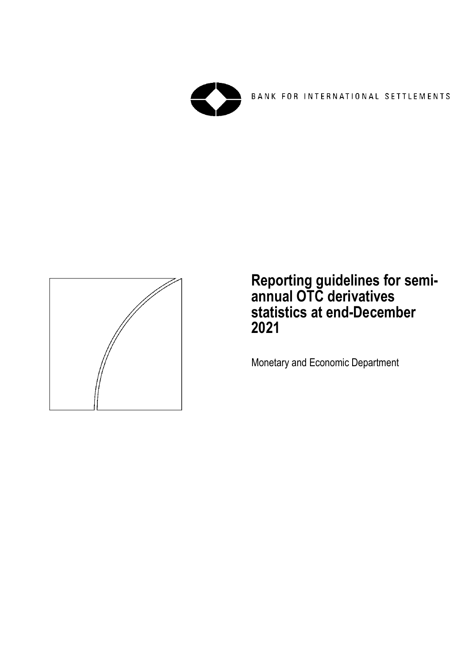

BANK FOR INTERNATIONAL SETTLEMENTS



**Reporting guidelines for semiannual OTC derivatives statistics at end-December 2021**

Monetary and Economic Department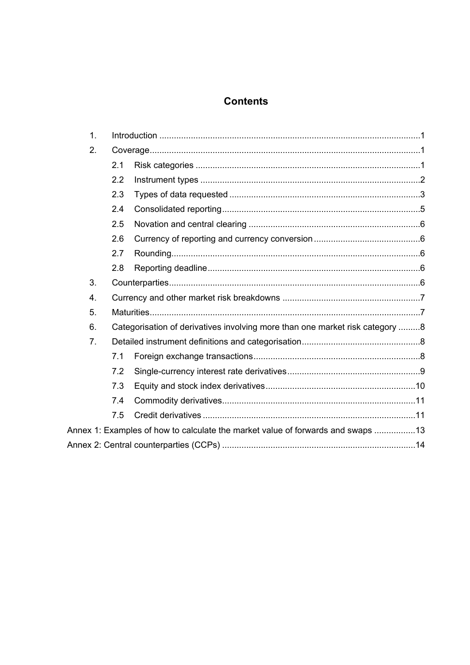# **Contents**

| 1.               |     |                                                                                 |  |
|------------------|-----|---------------------------------------------------------------------------------|--|
| 2.               |     |                                                                                 |  |
|                  | 2.1 |                                                                                 |  |
|                  | 2.2 |                                                                                 |  |
|                  | 2.3 |                                                                                 |  |
|                  | 2.4 |                                                                                 |  |
|                  | 2.5 |                                                                                 |  |
|                  | 2.6 |                                                                                 |  |
|                  | 2.7 |                                                                                 |  |
|                  | 2.8 |                                                                                 |  |
| 3.               |     |                                                                                 |  |
| $\overline{4}$ . |     |                                                                                 |  |
| 5.               |     |                                                                                 |  |
| 6.               |     | Categorisation of derivatives involving more than one market risk category 8    |  |
| 7 <sub>1</sub>   |     |                                                                                 |  |
|                  | 7.1 |                                                                                 |  |
|                  | 7.2 |                                                                                 |  |
|                  | 7.3 |                                                                                 |  |
|                  | 7.4 |                                                                                 |  |
|                  | 7.5 |                                                                                 |  |
|                  |     | Annex 1: Examples of how to calculate the market value of forwards and swaps 13 |  |
|                  |     |                                                                                 |  |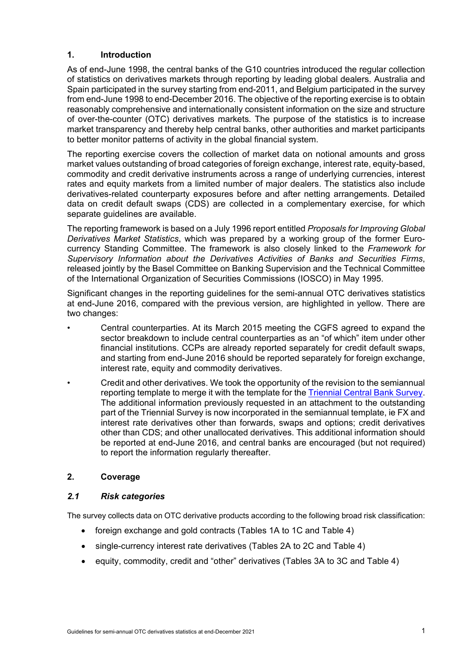#### <span id="page-4-0"></span>**1. Introduction**

As of end-June 1998, the central banks of the G10 countries introduced the regular collection of statistics on derivatives markets through reporting by leading global dealers. Australia and Spain participated in the survey starting from end-2011, and Belgium participated in the survey from end-June 1998 to end-December 2016. The objective of the reporting exercise is to obtain reasonably comprehensive and internationally consistent information on the size and structure of over-the-counter (OTC) derivatives markets*.* The purpose of the statistics is to increase market transparency and thereby help central banks, other authorities and market participants to better monitor patterns of activity in the global financial system.

The reporting exercise covers the collection of market data on notional amounts and gross market values outstanding of broad categories of foreign exchange, interest rate, equity-based, commodity and credit derivative instruments across a range of underlying currencies, interest rates and equity markets from a limited number of major dealers. The statistics also include derivatives-related counterparty exposures before and after netting arrangements. Detailed data on credit default swaps (CDS) are collected in a complementary exercise, for which separate guidelines are available.

The reporting framework is based on a July 1996 report entitled *Proposals for Improving Global Derivatives Market Statistics*, which was prepared by a working group of the former Eurocurrency Standing Committee. The framework is also closely linked to the *Framework for Supervisory Information about the Derivatives Activities of Banks and Securities Firms*, released jointly by the Basel Committee on Banking Supervision and the Technical Committee of the International Organization of Securities Commissions (IOSCO) in May 1995.

Significant changes in the reporting guidelines for the semi-annual OTC derivatives statistics at end-June 2016, compared with the previous version, are highlighted in yellow. There are two changes:

- Central counterparties. At its March 2015 meeting the CGFS agreed to expand the sector breakdown to include central counterparties as an "of which" item under other financial institutions. CCPs are already reported separately for credit default swaps, and starting from end-June 2016 should be reported separately for foreign exchange, interest rate, equity and commodity derivatives.
- Credit and other derivatives. We took the opportunity of the revision to the semiannual reporting template to merge it with the template for th[e Triennial Central Bank Survey.](http://www.bis.org/statistics/triennialrep/guidelines_cbanks.htm) The additional information previously requested in an attachment to the outstanding part of the Triennial Survey is now incorporated in the semiannual template, ie FX and interest rate derivatives other than forwards, swaps and options; credit derivatives other than CDS; and other unallocated derivatives. This additional information should be reported at end-June 2016, and central banks are encouraged (but not required) to report the information regularly thereafter.

# <span id="page-4-2"></span><span id="page-4-1"></span>**2. Coverage**

#### *2.1 Risk categories*

The survey collects data on OTC derivative products according to the following broad risk classification:

- foreign exchange and gold contracts (Tables 1A to 1C and Table 4)
- single-currency interest rate derivatives (Tables 2A to 2C and Table 4)
- equity, commodity, credit and "other" derivatives (Tables 3A to 3C and Table 4)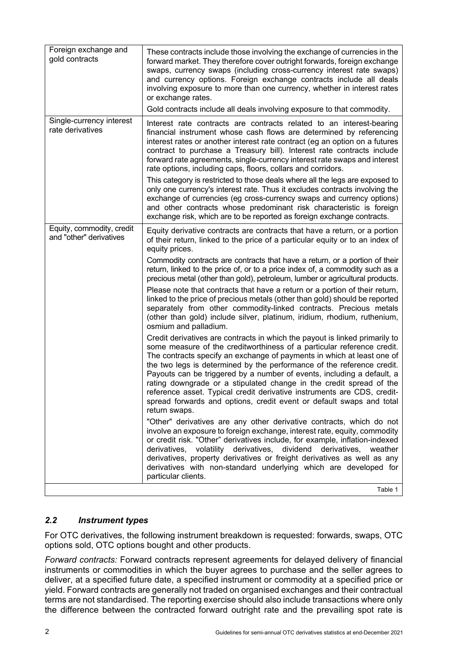| Foreign exchange and<br>gold contracts               | These contracts include those involving the exchange of currencies in the<br>forward market. They therefore cover outright forwards, foreign exchange<br>swaps, currency swaps (including cross-currency interest rate swaps)<br>and currency options. Foreign exchange contracts include all deals<br>involving exposure to more than one currency, whether in interest rates<br>or exchange rates.                                                                                                                                                                                                                           |
|------------------------------------------------------|--------------------------------------------------------------------------------------------------------------------------------------------------------------------------------------------------------------------------------------------------------------------------------------------------------------------------------------------------------------------------------------------------------------------------------------------------------------------------------------------------------------------------------------------------------------------------------------------------------------------------------|
|                                                      | Gold contracts include all deals involving exposure to that commodity.                                                                                                                                                                                                                                                                                                                                                                                                                                                                                                                                                         |
| Single-currency interest<br>rate derivatives         | Interest rate contracts are contracts related to an interest-bearing<br>financial instrument whose cash flows are determined by referencing<br>interest rates or another interest rate contract (eg an option on a futures<br>contract to purchase a Treasury bill). Interest rate contracts include<br>forward rate agreements, single-currency interest rate swaps and interest<br>rate options, including caps, floors, collars and corridors.                                                                                                                                                                              |
|                                                      | This category is restricted to those deals where all the legs are exposed to<br>only one currency's interest rate. Thus it excludes contracts involving the<br>exchange of currencies (eg cross-currency swaps and currency options)<br>and other contracts whose predominant risk characteristic is foreign<br>exchange risk, which are to be reported as foreign exchange contracts.                                                                                                                                                                                                                                         |
| Equity, commodity, credit<br>and "other" derivatives | Equity derivative contracts are contracts that have a return, or a portion<br>of their return, linked to the price of a particular equity or to an index of<br>equity prices.                                                                                                                                                                                                                                                                                                                                                                                                                                                  |
|                                                      | Commodity contracts are contracts that have a return, or a portion of their<br>return, linked to the price of, or to a price index of, a commodity such as a<br>precious metal (other than gold), petroleum, lumber or agricultural products.                                                                                                                                                                                                                                                                                                                                                                                  |
|                                                      | Please note that contracts that have a return or a portion of their return,<br>linked to the price of precious metals (other than gold) should be reported<br>separately from other commodity-linked contracts. Precious metals<br>(other than gold) include silver, platinum, iridium, rhodium, ruthenium,<br>osmium and palladium.                                                                                                                                                                                                                                                                                           |
|                                                      | Credit derivatives are contracts in which the payout is linked primarily to<br>some measure of the creditworthiness of a particular reference credit.<br>The contracts specify an exchange of payments in which at least one of<br>the two legs is determined by the performance of the reference credit.<br>Payouts can be triggered by a number of events, including a default, a<br>rating downgrade or a stipulated change in the credit spread of the<br>reference asset. Typical credit derivative instruments are CDS, credit-<br>spread forwards and options, credit event or default swaps and total<br>return swaps. |
|                                                      | "Other" derivatives are any other derivative contracts, which do not<br>involve an exposure to foreign exchange, interest rate, equity, commodity<br>or credit risk. "Other" derivatives include, for example, inflation-indexed<br>derivatives, volatility derivatives,<br>dividend<br>derivatives, weather<br>derivatives, property derivatives or freight derivatives as well as any<br>derivatives with non-standard underlying which are developed for<br>particular clients.                                                                                                                                             |
|                                                      | Table 1                                                                                                                                                                                                                                                                                                                                                                                                                                                                                                                                                                                                                        |

# <span id="page-5-0"></span>*2.2 Instrument types*

For OTC derivatives, the following instrument breakdown is requested: forwards, swaps, OTC options sold, OTC options bought and other products.

*Forward contracts:* Forward contracts represent agreements for delayed delivery of financial instruments or commodities in which the buyer agrees to purchase and the seller agrees to deliver, at a specified future date, a specified instrument or commodity at a specified price or yield. Forward contracts are generally not traded on organised exchanges and their contractual terms are not standardised. The reporting exercise should also include transactions where only the difference between the contracted forward outright rate and the prevailing spot rate is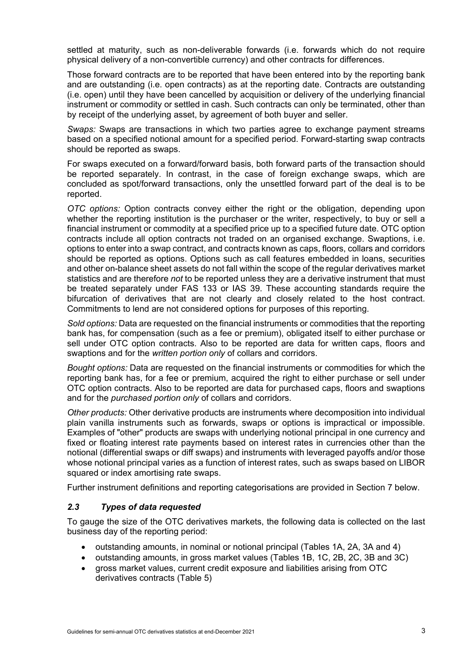settled at maturity, such as non-deliverable forwards (i.e. forwards which do not require physical delivery of a non-convertible currency) and other contracts for differences.

Those forward contracts are to be reported that have been entered into by the reporting bank and are outstanding (i.e. open contracts) as at the reporting date. Contracts are outstanding (i.e. open) until they have been cancelled by acquisition or delivery of the underlying financial instrument or commodity or settled in cash. Such contracts can only be terminated, other than by receipt of the underlying asset, by agreement of both buyer and seller.

*Swaps:* Swaps are transactions in which two parties agree to exchange payment streams based on a specified notional amount for a specified period. Forward-starting swap contracts should be reported as swaps.

For swaps executed on a forward/forward basis, both forward parts of the transaction should be reported separately. In contrast, in the case of foreign exchange swaps, which are concluded as spot/forward transactions, only the unsettled forward part of the deal is to be reported.

*OTC options:* Option contracts convey either the right or the obligation, depending upon whether the reporting institution is the purchaser or the writer, respectively, to buy or sell a financial instrument or commodity at a specified price up to a specified future date. OTC option contracts include all option contracts not traded on an organised exchange. Swaptions, i.e. options to enter into a swap contract, and contracts known as caps, floors, collars and corridors should be reported as options. Options such as call features embedded in loans, securities and other on-balance sheet assets do not fall within the scope of the regular derivatives market statistics and are therefore *not* to be reported unless they are a derivative instrument that must be treated separately under FAS 133 or IAS 39. These accounting standards require the bifurcation of derivatives that are not clearly and closely related to the host contract. Commitments to lend are not considered options for purposes of this reporting.

*Sold options:* Data are requested on the financial instruments or commodities that the reporting bank has, for compensation (such as a fee or premium), obligated itself to either purchase or sell under OTC option contracts. Also to be reported are data for written caps, floors and swaptions and for the *written portion only* of collars and corridors.

*Bought options:* Data are requested on the financial instruments or commodities for which the reporting bank has, for a fee or premium, acquired the right to either purchase or sell under OTC option contracts. Also to be reported are data for purchased caps, floors and swaptions and for the *purchased portion only* of collars and corridors.

*Other products:* Other derivative products are instruments where decomposition into individual plain vanilla instruments such as forwards, swaps or options is impractical or impossible. Examples of "other" products are swaps with underlying notional principal in one currency and fixed or floating interest rate payments based on interest rates in currencies other than the notional (differential swaps or diff swaps) and instruments with leveraged payoffs and/or those whose notional principal varies as a function of interest rates, such as swaps based on LIBOR squared or index amortising rate swaps.

Further instrument definitions and reporting categorisations are provided in Section 7 below.

#### <span id="page-6-0"></span>*2.3 Types of data requested*

To gauge the size of the OTC derivatives markets, the following data is collected on the last business day of the reporting period:

- outstanding amounts, in nominal or notional principal (Tables 1A, 2A, 3A and 4)
- outstanding amounts, in gross market values (Tables 1B, 1C, 2B, 2C, 3B and 3C)
- gross market values, current credit exposure and liabilities arising from OTC derivatives contracts (Table 5)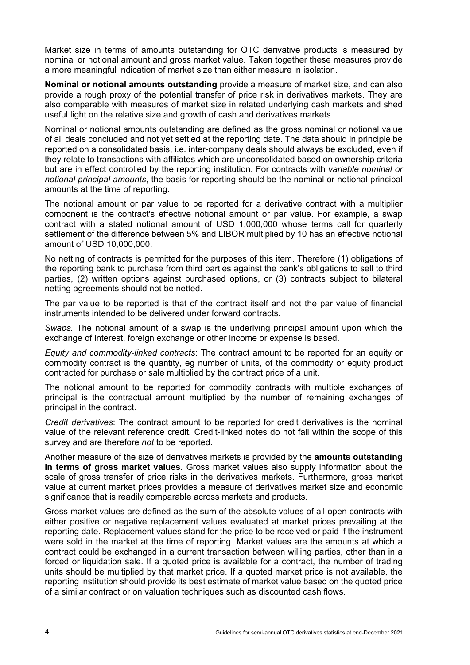Market size in terms of amounts outstanding for OTC derivative products is measured by nominal or notional amount and gross market value. Taken together these measures provide a more meaningful indication of market size than either measure in isolation.

**Nominal or notional amounts outstanding** provide a measure of market size, and can also provide a rough proxy of the potential transfer of price risk in derivatives markets. They are also comparable with measures of market size in related underlying cash markets and shed useful light on the relative size and growth of cash and derivatives markets.

Nominal or notional amounts outstanding are defined as the gross nominal or notional value of all deals concluded and not yet settled at the reporting date. The data should in principle be reported on a consolidated basis, i.e. inter-company deals should always be excluded, even if they relate to transactions with affiliates which are unconsolidated based on ownership criteria but are in effect controlled by the reporting institution. For contracts with *variable nominal or notional principal amounts*, the basis for reporting should be the nominal or notional principal amounts at the time of reporting.

The notional amount or par value to be reported for a derivative contract with a multiplier component is the contract's effective notional amount or par value. For example, a swap contract with a stated notional amount of USD 1,000,000 whose terms call for quarterly settlement of the difference between 5% and LIBOR multiplied by 10 has an effective notional amount of USD 10,000,000.

No netting of contracts is permitted for the purposes of this item. Therefore (1) obligations of the reporting bank to purchase from third parties against the bank's obligations to sell to third parties, (2) written options against purchased options, or (3) contracts subject to bilateral netting agreements should not be netted.

The par value to be reported is that of the contract itself and not the par value of financial instruments intended to be delivered under forward contracts.

*Swaps.* The notional amount of a swap is the underlying principal amount upon which the exchange of interest, foreign exchange or other income or expense is based.

*Equity and commodity-linked contracts*: The contract amount to be reported for an equity or commodity contract is the quantity, eg number of units, of the commodity or equity product contracted for purchase or sale multiplied by the contract price of a unit.

The notional amount to be reported for commodity contracts with multiple exchanges of principal is the contractual amount multiplied by the number of remaining exchanges of principal in the contract.

*Credit derivatives*: The contract amount to be reported for credit derivatives is the nominal value of the relevant reference credit. Credit-linked notes do not fall within the scope of this survey and are therefore *not* to be reported.

Another measure of the size of derivatives markets is provided by the **amounts outstanding in terms of gross market values**. Gross market values also supply information about the scale of gross transfer of price risks in the derivatives markets. Furthermore, gross market value at current market prices provides a measure of derivatives market size and economic significance that is readily comparable across markets and products.

Gross market values are defined as the sum of the absolute values of all open contracts with either positive or negative replacement values evaluated at market prices prevailing at the reporting date. Replacement values stand for the price to be received or paid if the instrument were sold in the market at the time of reporting. Market values are the amounts at which a contract could be exchanged in a current transaction between willing parties, other than in a forced or liquidation sale. If a quoted price is available for a contract, the number of trading units should be multiplied by that market price. If a quoted market price is not available, the reporting institution should provide its best estimate of market value based on the quoted price of a similar contract or on valuation techniques such as discounted cash flows.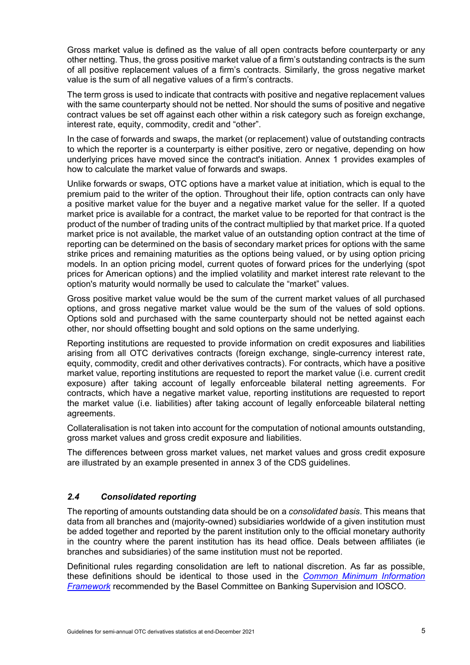Gross market value is defined as the value of all open contracts before counterparty or any other netting. Thus, the gross positive market value of a firm's outstanding contracts is the sum of all positive replacement values of a firm's contracts. Similarly, the gross negative market value is the sum of all negative values of a firm's contracts.

The term gross is used to indicate that contracts with positive and negative replacement values with the same counterparty should not be netted. Nor should the sums of positive and negative contract values be set off against each other within a risk category such as foreign exchange, interest rate, equity, commodity, credit and "other".

In the case of forwards and swaps, the market (or replacement) value of outstanding contracts to which the reporter is a counterparty is either positive, zero or negative, depending on how underlying prices have moved since the contract's initiation. Annex 1 provides examples of how to calculate the market value of forwards and swaps.

Unlike forwards or swaps, OTC options have a market value at initiation, which is equal to the premium paid to the writer of the option. Throughout their life, option contracts can only have a positive market value for the buyer and a negative market value for the seller. If a quoted market price is available for a contract, the market value to be reported for that contract is the product of the number of trading units of the contract multiplied by that market price. If a quoted market price is not available, the market value of an outstanding option contract at the time of reporting can be determined on the basis of secondary market prices for options with the same strike prices and remaining maturities as the options being valued, or by using option pricing models. In an option pricing model, current quotes of forward prices for the underlying (spot prices for American options) and the implied volatility and market interest rate relevant to the option's maturity would normally be used to calculate the "market" values.

Gross positive market value would be the sum of the current market values of all purchased options, and gross negative market value would be the sum of the values of sold options. Options sold and purchased with the same counterparty should not be netted against each other, nor should offsetting bought and sold options on the same underlying.

Reporting institutions are requested to provide information on credit exposures and liabilities arising from all OTC derivatives contracts (foreign exchange, single-currency interest rate, equity, commodity, credit and other derivatives contracts). For contracts, which have a positive market value, reporting institutions are requested to report the market value (i.e. current credit exposure) after taking account of legally enforceable bilateral netting agreements. For contracts, which have a negative market value, reporting institutions are requested to report the market value (i.e. liabilities) after taking account of legally enforceable bilateral netting agreements.

Collateralisation is not taken into account for the computation of notional amounts outstanding, gross market values and gross credit exposure and liabilities.

The differences between gross market values, net market values and gross credit exposure are illustrated by an example presented in annex 3 of the CDS guidelines.

# <span id="page-8-0"></span>*2.4 Consolidated reporting*

The reporting of amounts outstanding data should be on a *consolidated basis*. This means that data from all branches and (majority-owned) subsidiaries worldwide of a given institution must be added together and reported by the parent institution only to the official monetary authority in the country where the parent institution has its head office. Deals between affiliates (ie branches and subsidiaries) of the same institution must not be reported.

Definitional rules regarding consolidation are left to national discretion. As far as possible, these definitions should be identical to those used in the *[Common Minimum Information](http://www.bis.org/publ/bcbs39.htm)  [Framework](http://www.bis.org/publ/bcbs39.htm)* recommended by the Basel Committee on Banking Supervision and IOSCO.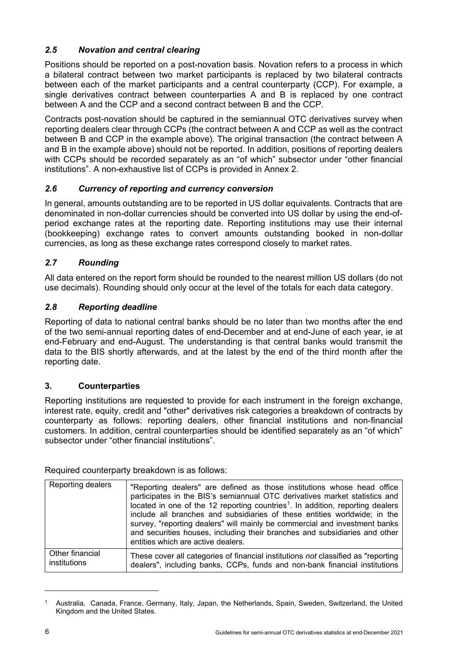# <span id="page-9-0"></span>*2.5 Novation and central clearing*

Positions should be reported on a post-novation basis. Novation refers to a process in which a bilateral contract between two market participants is replaced by two bilateral contracts between each of the market participants and a central counterparty (CCP). For example, a single derivatives contract between counterparties A and B is replaced by one contract between A and the CCP and a second contract between B and the CCP.

Contracts post-novation should be captured in the semiannual OTC derivatives survey when reporting dealers clear through CCPs (the contract between A and CCP as well as the contract between B and CCP in the example above). The original transaction (the contract between A and B in the example above) should not be reported. In addition, positions of reporting dealers with CCPs should be recorded separately as an "of which" subsector under "other financial institutions". A non-exhaustive list of CCPs is provided in Annex 2.

# <span id="page-9-1"></span>*2.6 Currency of reporting and currency conversion*

In general, amounts outstanding are to be reported in US dollar equivalents. Contracts that are denominated in non-dollar currencies should be converted into US dollar by using the end-ofperiod exchange rates at the reporting date. Reporting institutions may use their internal (bookkeeping) exchange rates to convert amounts outstanding booked in non-dollar currencies, as long as these exchange rates correspond closely to market rates.

# <span id="page-9-2"></span>*2.7 Rounding*

All data entered on the report form should be rounded to the nearest million US dollars (do not use decimals). Rounding should only occur at the level of the totals for each data category.

# <span id="page-9-3"></span>*2.8 Reporting deadline*

Reporting of data to national central banks should be no later than two months after the end of the two semi-annual reporting dates of end-December and at end-June of each year, ie at end-February and end-August. The understanding is that central banks would transmit the data to the BIS shortly afterwards, and at the latest by the end of the third month after the reporting date.

# <span id="page-9-4"></span>**3. Counterparties**

Reporting institutions are requested to provide for each instrument in the foreign exchange, interest rate, equity, credit and "other" derivatives risk categories a breakdown of contracts by counterparty as follows: reporting dealers, other financial institutions and non-financial customers. In addition, central counterparties should be identified separately as an "of which" subsector under "other financial institutions".

Required counterparty breakdown is as follows:

| Reporting dealers | "Reporting dealers" are defined as those institutions whose head office<br>participates in the BIS's semiannual OTC derivatives market statistics and<br>located in one of the 12 reporting countries <sup>1</sup> . In addition, reporting dealers<br>include all branches and subsidiaries of these entities worldwide; in the<br>survey, "reporting dealers" will mainly be commercial and investment banks<br>and securities houses, including their branches and subsidiaries and other<br>entities which are active dealers. |
|-------------------|------------------------------------------------------------------------------------------------------------------------------------------------------------------------------------------------------------------------------------------------------------------------------------------------------------------------------------------------------------------------------------------------------------------------------------------------------------------------------------------------------------------------------------|
| Other financial   | These cover all categories of financial institutions not classified as "reporting"                                                                                                                                                                                                                                                                                                                                                                                                                                                 |
| institutions      | dealers", including banks, CCPs, funds and non-bank financial institutions                                                                                                                                                                                                                                                                                                                                                                                                                                                         |

<span id="page-9-5"></span><sup>1</sup> Australia, Canada, France, Germany, Italy, Japan, the Netherlands, Spain, Sweden, Switzerland, the United Kingdom and the United States.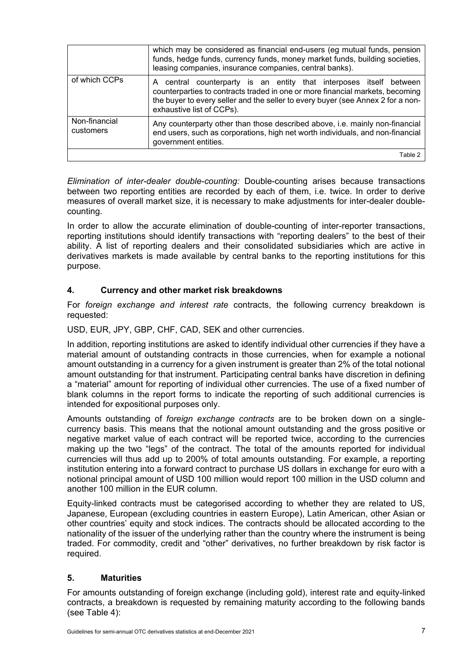|                            | which may be considered as financial end-users (eg mutual funds, pension<br>funds, hedge funds, currency funds, money market funds, building societies,<br>leasing companies, insurance companies, central banks).                                                      |
|----------------------------|-------------------------------------------------------------------------------------------------------------------------------------------------------------------------------------------------------------------------------------------------------------------------|
| of which CCPs              | central counterparty is an entity that interposes itself between<br>A.<br>counterparties to contracts traded in one or more financial markets, becoming<br>the buyer to every seller and the seller to every buyer (see Annex 2 for a non-<br>exhaustive list of CCPs). |
| Non-financial<br>customers | Any counterparty other than those described above, i.e. mainly non-financial<br>end users, such as corporations, high net worth individuals, and non-financial<br>government entities.                                                                                  |
|                            | Table 2                                                                                                                                                                                                                                                                 |

*Elimination of inter-dealer double-counting:* Double-counting arises because transactions between two reporting entities are recorded by each of them, i.e. twice. In order to derive measures of overall market size, it is necessary to make adjustments for inter-dealer doublecounting.

In order to allow the accurate elimination of double-counting of inter-reporter transactions, reporting institutions should identify transactions with "reporting dealers" to the best of their ability. A list of reporting dealers and their consolidated subsidiaries which are active in derivatives markets is made available by central banks to the reporting institutions for this purpose.

#### <span id="page-10-0"></span>**4. Currency and other market risk breakdowns**

For *foreign exchange and interest rate* contracts, the following currency breakdown is requested:

USD, EUR, JPY, GBP, CHF, CAD, SEK and other currencies.

In addition, reporting institutions are asked to identify individual other currencies if they have a material amount of outstanding contracts in those currencies, when for example a notional amount outstanding in a currency for a given instrument is greater than 2% of the total notional amount outstanding for that instrument. Participating central banks have discretion in defining a "material" amount for reporting of individual other currencies. The use of a fixed number of blank columns in the report forms to indicate the reporting of such additional currencies is intended for expositional purposes only.

Amounts outstanding of *foreign exchange contracts* are to be broken down on a singlecurrency basis. This means that the notional amount outstanding and the gross positive or negative market value of each contract will be reported twice, according to the currencies making up the two "legs" of the contract. The total of the amounts reported for individual currencies will thus add up to 200% of total amounts outstanding. For example, a reporting institution entering into a forward contract to purchase US dollars in exchange for euro with a notional principal amount of USD 100 million would report 100 million in the USD column and another 100 million in the EUR column.

Equity-linked contracts must be categorised according to whether they are related to US, Japanese, European (excluding countries in eastern Europe), Latin American, other Asian or other countries' equity and stock indices. The contracts should be allocated according to the nationality of the issuer of the underlying rather than the country where the instrument is being traded. For commodity, credit and "other" derivatives, no further breakdown by risk factor is required.

#### <span id="page-10-1"></span>**5. Maturities**

For amounts outstanding of foreign exchange (including gold), interest rate and equity-linked contracts, a breakdown is requested by remaining maturity according to the following bands (see Table 4):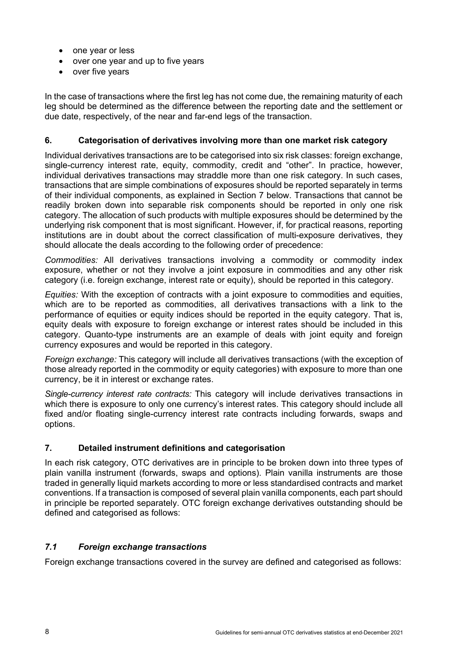- one year or less
- over one year and up to five years
- over five years

In the case of transactions where the first leg has not come due, the remaining maturity of each leg should be determined as the difference between the reporting date and the settlement or due date, respectively, of the near and far-end legs of the transaction.

### <span id="page-11-0"></span>**6. Categorisation of derivatives involving more than one market risk category**

Individual derivatives transactions are to be categorised into six risk classes: foreign exchange, single-currency interest rate, equity, commodity, credit and "other". In practice, however, individual derivatives transactions may straddle more than one risk category. In such cases, transactions that are simple combinations of exposures should be reported separately in terms of their individual components, as explained in Section 7 below. Transactions that cannot be readily broken down into separable risk components should be reported in only one risk category. The allocation of such products with multiple exposures should be determined by the underlying risk component that is most significant. However, if, for practical reasons, reporting institutions are in doubt about the correct classification of multi-exposure derivatives, they should allocate the deals according to the following order of precedence:

*Commodities:* All derivatives transactions involving a commodity or commodity index exposure, whether or not they involve a joint exposure in commodities and any other risk category (i.e. foreign exchange, interest rate or equity), should be reported in this category.

*Equities:* With the exception of contracts with a joint exposure to commodities and equities, which are to be reported as commodities, all derivatives transactions with a link to the performance of equities or equity indices should be reported in the equity category. That is, equity deals with exposure to foreign exchange or interest rates should be included in this category. Quanto-type instruments are an example of deals with joint equity and foreign currency exposures and would be reported in this category.

*Foreign exchange:* This category will include all derivatives transactions (with the exception of those already reported in the commodity or equity categories) with exposure to more than one currency, be it in interest or exchange rates.

*Single-currency interest rate contracts:* This category will include derivatives transactions in which there is exposure to only one currency's interest rates. This category should include all fixed and/or floating single-currency interest rate contracts including forwards, swaps and options.

# <span id="page-11-1"></span>**7. Detailed instrument definitions and categorisation**

In each risk category, OTC derivatives are in principle to be broken down into three types of plain vanilla instrument (forwards, swaps and options). Plain vanilla instruments are those traded in generally liquid markets according to more or less standardised contracts and market conventions. If a transaction is composed of several plain vanilla components, each part should in principle be reported separately. OTC foreign exchange derivatives outstanding should be defined and categorised as follows:

# <span id="page-11-2"></span>*7.1 Foreign exchange transactions*

Foreign exchange transactions covered in the survey are defined and categorised as follows: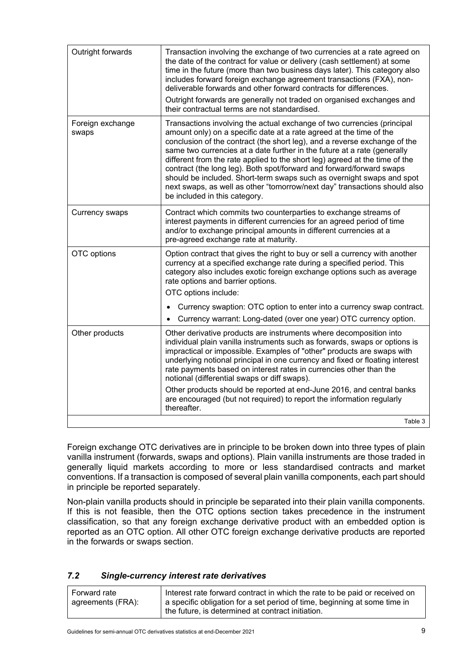| Outright forwards         | Transaction involving the exchange of two currencies at a rate agreed on<br>the date of the contract for value or delivery (cash settlement) at some<br>time in the future (more than two business days later). This category also<br>includes forward foreign exchange agreement transactions (FXA), non-<br>deliverable forwards and other forward contracts for differences.<br>Outright forwards are generally not traded on organised exchanges and<br>their contractual terms are not standardised.                                                                                                                                             |
|---------------------------|-------------------------------------------------------------------------------------------------------------------------------------------------------------------------------------------------------------------------------------------------------------------------------------------------------------------------------------------------------------------------------------------------------------------------------------------------------------------------------------------------------------------------------------------------------------------------------------------------------------------------------------------------------|
| Foreign exchange<br>swaps | Transactions involving the actual exchange of two currencies (principal<br>amount only) on a specific date at a rate agreed at the time of the<br>conclusion of the contract (the short leg), and a reverse exchange of the<br>same two currencies at a date further in the future at a rate (generally<br>different from the rate applied to the short leg) agreed at the time of the<br>contract (the long leg). Both spot/forward and forward/forward swaps<br>should be included. Short-term swaps such as overnight swaps and spot<br>next swaps, as well as other "tomorrow/next day" transactions should also<br>be included in this category. |
| <b>Currency swaps</b>     | Contract which commits two counterparties to exchange streams of<br>interest payments in different currencies for an agreed period of time<br>and/or to exchange principal amounts in different currencies at a<br>pre-agreed exchange rate at maturity.                                                                                                                                                                                                                                                                                                                                                                                              |
| OTC options               | Option contract that gives the right to buy or sell a currency with another<br>currency at a specified exchange rate during a specified period. This<br>category also includes exotic foreign exchange options such as average<br>rate options and barrier options.<br>OTC options include:                                                                                                                                                                                                                                                                                                                                                           |
|                           | Currency swaption: OTC option to enter into a currency swap contract.<br>Currency warrant: Long-dated (over one year) OTC currency option.                                                                                                                                                                                                                                                                                                                                                                                                                                                                                                            |
| Other products            | Other derivative products are instruments where decomposition into<br>individual plain vanilla instruments such as forwards, swaps or options is<br>impractical or impossible. Examples of "other" products are swaps with<br>underlying notional principal in one currency and fixed or floating interest<br>rate payments based on interest rates in currencies other than the<br>notional (differential swaps or diff swaps).                                                                                                                                                                                                                      |
|                           | Other products should be reported at end-June 2016, and central banks<br>are encouraged (but not required) to report the information regularly<br>thereafter.                                                                                                                                                                                                                                                                                                                                                                                                                                                                                         |
|                           | Table 3                                                                                                                                                                                                                                                                                                                                                                                                                                                                                                                                                                                                                                               |

Foreign exchange OTC derivatives are in principle to be broken down into three types of plain vanilla instrument (forwards, swaps and options). Plain vanilla instruments are those traded in generally liquid markets according to more or less standardised contracts and market conventions. If a transaction is composed of several plain vanilla components, each part should in principle be reported separately.

Non-plain vanilla products should in principle be separated into their plain vanilla components. If this is not feasible, then the OTC options section takes precedence in the instrument classification, so that any foreign exchange derivative product with an embedded option is reported as an OTC option. All other OTC foreign exchange derivative products are reported in the forwards or swaps section.

#### <span id="page-12-0"></span>*7.2 Single-currency interest rate derivatives*

| Forward rate      | Interest rate forward contract in which the rate to be paid or received on |
|-------------------|----------------------------------------------------------------------------|
| agreements (FRA): | a specific obligation for a set period of time, beginning at some time in  |
|                   | the future, is determined at contract initiation.                          |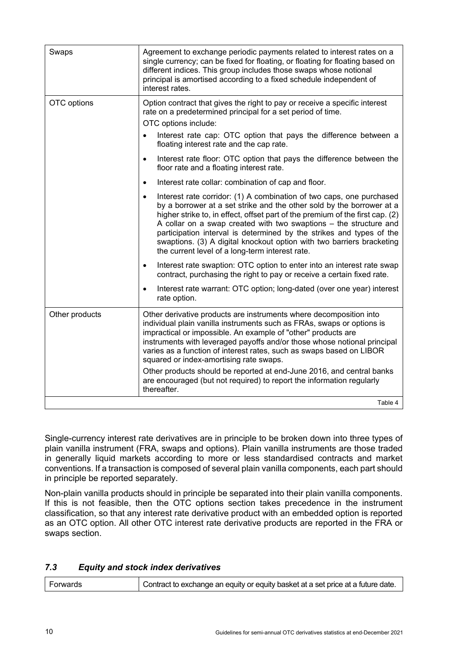| Swaps          | Agreement to exchange periodic payments related to interest rates on a<br>single currency; can be fixed for floating, or floating for floating based on<br>different indices. This group includes those swaps whose notional<br>principal is amortised according to a fixed schedule independent of<br>interest rates.                                                                                                                                                                                                                                         |
|----------------|----------------------------------------------------------------------------------------------------------------------------------------------------------------------------------------------------------------------------------------------------------------------------------------------------------------------------------------------------------------------------------------------------------------------------------------------------------------------------------------------------------------------------------------------------------------|
| OTC options    | Option contract that gives the right to pay or receive a specific interest<br>rate on a predetermined principal for a set period of time.<br>OTC options include:                                                                                                                                                                                                                                                                                                                                                                                              |
|                | Interest rate cap: OTC option that pays the difference between a<br>floating interest rate and the cap rate.                                                                                                                                                                                                                                                                                                                                                                                                                                                   |
|                | Interest rate floor: OTC option that pays the difference between the<br>$\bullet$<br>floor rate and a floating interest rate.                                                                                                                                                                                                                                                                                                                                                                                                                                  |
|                | Interest rate collar: combination of cap and floor.<br>$\bullet$                                                                                                                                                                                                                                                                                                                                                                                                                                                                                               |
|                | Interest rate corridor: (1) A combination of two caps, one purchased<br>$\bullet$<br>by a borrower at a set strike and the other sold by the borrower at a<br>higher strike to, in effect, offset part of the premium of the first cap. (2)<br>A collar on a swap created with two swaptions – the structure and<br>participation interval is determined by the strikes and types of the<br>swaptions. (3) A digital knockout option with two barriers bracketing<br>the current level of a long-term interest rate.                                           |
|                | Interest rate swaption: OTC option to enter into an interest rate swap<br>$\bullet$<br>contract, purchasing the right to pay or receive a certain fixed rate.                                                                                                                                                                                                                                                                                                                                                                                                  |
|                | Interest rate warrant: OTC option; long-dated (over one year) interest<br>$\bullet$<br>rate option.                                                                                                                                                                                                                                                                                                                                                                                                                                                            |
| Other products | Other derivative products are instruments where decomposition into<br>individual plain vanilla instruments such as FRAs, swaps or options is<br>impractical or impossible. An example of "other" products are<br>instruments with leveraged payoffs and/or those whose notional principal<br>varies as a function of interest rates, such as swaps based on LIBOR<br>squared or index-amortising rate swaps.<br>Other products should be reported at end-June 2016, and central banks<br>are encouraged (but not required) to report the information regularly |
|                | thereafter.                                                                                                                                                                                                                                                                                                                                                                                                                                                                                                                                                    |
|                | Table 4                                                                                                                                                                                                                                                                                                                                                                                                                                                                                                                                                        |

Single-currency interest rate derivatives are in principle to be broken down into three types of plain vanilla instrument (FRA, swaps and options). Plain vanilla instruments are those traded in generally liquid markets according to more or less standardised contracts and market conventions. If a transaction is composed of several plain vanilla components, each part should in principle be reported separately.

Non-plain vanilla products should in principle be separated into their plain vanilla components. If this is not feasible, then the OTC options section takes precedence in the instrument classification, so that any interest rate derivative product with an embedded option is reported as an OTC option. All other OTC interest rate derivative products are reported in the FRA or swaps section.

# <span id="page-13-0"></span>*7.3 Equity and stock index derivatives*

| Contract to exchange an equity or equity basket at a set price at a future date.<br>I Forwards |  |
|------------------------------------------------------------------------------------------------|--|
|------------------------------------------------------------------------------------------------|--|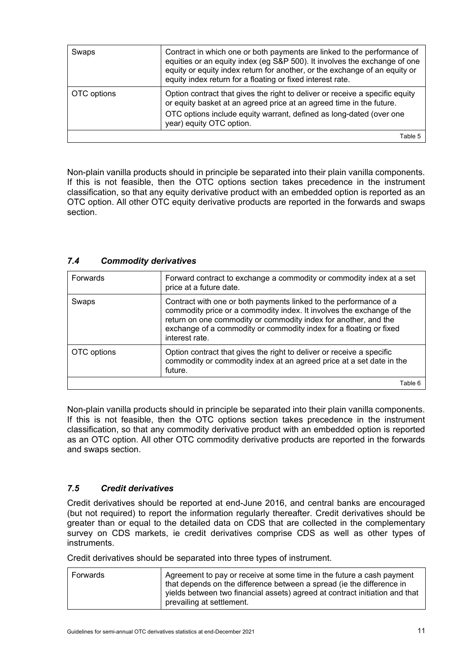| Swaps       | Contract in which one or both payments are linked to the performance of<br>equities or an equity index (eg S&P 500). It involves the exchange of one<br>equity or equity index return for another, or the exchange of an equity or<br>equity index return for a floating or fixed interest rate. |
|-------------|--------------------------------------------------------------------------------------------------------------------------------------------------------------------------------------------------------------------------------------------------------------------------------------------------|
| OTC options | Option contract that gives the right to deliver or receive a specific equity<br>or equity basket at an agreed price at an agreed time in the future.                                                                                                                                             |
|             | OTC options include equity warrant, defined as long-dated (over one<br>year) equity OTC option.                                                                                                                                                                                                  |
|             | Table 5                                                                                                                                                                                                                                                                                          |

Non-plain vanilla products should in principle be separated into their plain vanilla components. If this is not feasible, then the OTC options section takes precedence in the instrument classification, so that any equity derivative product with an embedded option is reported as an OTC option. All other OTC equity derivative products are reported in the forwards and swaps section.

| Forwards    | Forward contract to exchange a commodity or commodity index at a set<br>price at a future date.                                                                                                                                                                                                       |
|-------------|-------------------------------------------------------------------------------------------------------------------------------------------------------------------------------------------------------------------------------------------------------------------------------------------------------|
| Swaps       | Contract with one or both payments linked to the performance of a<br>commodity price or a commodity index. It involves the exchange of the<br>return on one commodity or commodity index for another, and the<br>exchange of a commodity or commodity index for a floating or fixed<br>interest rate. |
| OTC options | Option contract that gives the right to deliver or receive a specific<br>commodity or commodity index at an agreed price at a set date in the<br>future.                                                                                                                                              |
|             | Table 6                                                                                                                                                                                                                                                                                               |

<span id="page-14-0"></span>*7.4 Commodity derivatives*

Non-plain vanilla products should in principle be separated into their plain vanilla components. If this is not feasible, then the OTC options section takes precedence in the instrument classification, so that any commodity derivative product with an embedded option is reported as an OTC option. All other OTC commodity derivative products are reported in the forwards and swaps section.

#### <span id="page-14-1"></span>*7.5 Credit derivatives*

Credit derivatives should be reported at end-June 2016, and central banks are encouraged (but not required) to report the information regularly thereafter. Credit derivatives should be greater than or equal to the detailed data on CDS that are collected in the complementary survey on CDS markets, ie credit derivatives comprise CDS as well as other types of instruments.

Credit derivatives should be separated into three types of instrument.

| Forwards | Agreement to pay or receive at some time in the future a cash payment       |
|----------|-----------------------------------------------------------------------------|
|          | that depends on the difference between a spread (ie the difference in       |
|          | yields between two financial assets) agreed at contract initiation and that |
|          | prevailing at settlement.                                                   |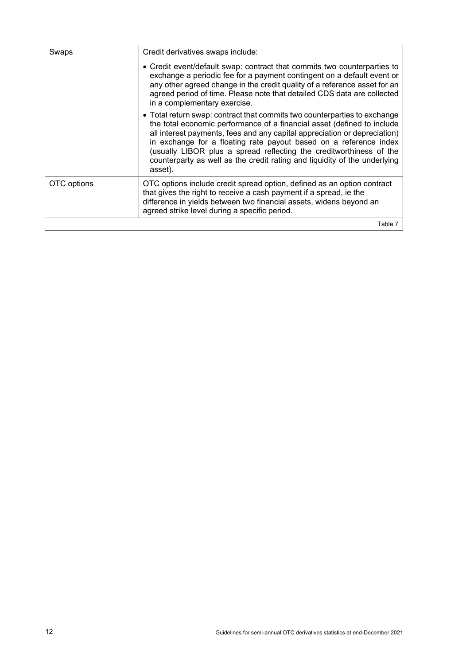| Swaps       | Credit derivatives swaps include:                                                                                                                                                                                                                                                                                                                                                                                                                                     |
|-------------|-----------------------------------------------------------------------------------------------------------------------------------------------------------------------------------------------------------------------------------------------------------------------------------------------------------------------------------------------------------------------------------------------------------------------------------------------------------------------|
|             | • Credit event/default swap: contract that commits two counterparties to<br>exchange a periodic fee for a payment contingent on a default event or<br>any other agreed change in the credit quality of a reference asset for an<br>agreed period of time. Please note that detailed CDS data are collected<br>in a complementary exercise.                                                                                                                            |
|             | • Total return swap: contract that commits two counterparties to exchange<br>the total economic performance of a financial asset (defined to include<br>all interest payments, fees and any capital appreciation or depreciation)<br>in exchange for a floating rate payout based on a reference index<br>(usually LIBOR plus a spread reflecting the creditworthiness of the<br>counterparty as well as the credit rating and liquidity of the underlying<br>asset). |
| OTC options | OTC options include credit spread option, defined as an option contract<br>that gives the right to receive a cash payment if a spread, ie the<br>difference in yields between two financial assets, widens beyond an<br>agreed strike level during a specific period.                                                                                                                                                                                                 |
|             | Table 7                                                                                                                                                                                                                                                                                                                                                                                                                                                               |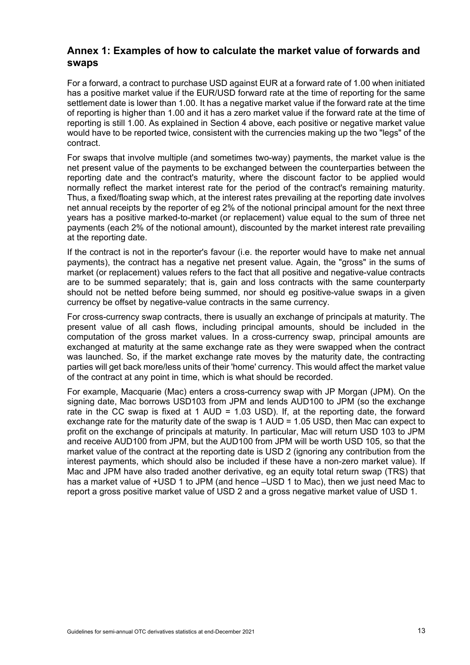# <span id="page-16-0"></span>**Annex 1: Examples of how to calculate the market value of forwards and swaps**

For a forward, a contract to purchase USD against EUR at a forward rate of 1.00 when initiated has a positive market value if the EUR/USD forward rate at the time of reporting for the same settlement date is lower than 1.00. It has a negative market value if the forward rate at the time of reporting is higher than 1.00 and it has a zero market value if the forward rate at the time of reporting is still 1.00. As explained in Section 4 above, each positive or negative market value would have to be reported twice, consistent with the currencies making up the two "legs" of the contract.

For swaps that involve multiple (and sometimes two-way) payments, the market value is the net present value of the payments to be exchanged between the counterparties between the reporting date and the contract's maturity, where the discount factor to be applied would normally reflect the market interest rate for the period of the contract's remaining maturity. Thus, a fixed/floating swap which, at the interest rates prevailing at the reporting date involves net annual receipts by the reporter of eg 2% of the notional principal amount for the next three years has a positive marked-to-market (or replacement) value equal to the sum of three net payments (each 2% of the notional amount), discounted by the market interest rate prevailing at the reporting date.

If the contract is not in the reporter's favour (i.e. the reporter would have to make net annual payments), the contract has a negative net present value. Again, the "gross" in the sums of market (or replacement) values refers to the fact that all positive and negative-value contracts are to be summed separately; that is, gain and loss contracts with the same counterparty should not be netted before being summed, nor should eg positive-value swaps in a given currency be offset by negative-value contracts in the same currency.

For cross-currency swap contracts, there is usually an exchange of principals at maturity. The present value of all cash flows, including principal amounts, should be included in the computation of the gross market values. In a cross-currency swap, principal amounts are exchanged at maturity at the same exchange rate as they were swapped when the contract was launched. So, if the market exchange rate moves by the maturity date, the contracting parties will get back more/less units of their 'home' currency. This would affect the market value of the contract at any point in time, which is what should be recorded.

For example, Macquarie (Mac) enters a cross-currency swap with JP Morgan (JPM). On the signing date, Mac borrows USD103 from JPM and lends AUD100 to JPM (so the exchange rate in the CC swap is fixed at 1 AUD = 1.03 USD). If, at the reporting date, the forward exchange rate for the maturity date of the swap is 1 AUD = 1.05 USD, then Mac can expect to profit on the exchange of principals at maturity. In particular, Mac will return USD 103 to JPM and receive AUD100 from JPM, but the AUD100 from JPM will be worth USD 105, so that the market value of the contract at the reporting date is USD 2 (ignoring any contribution from the interest payments, which should also be included if these have a non-zero market value). If Mac and JPM have also traded another derivative, eg an equity total return swap (TRS) that has a market value of +USD 1 to JPM (and hence –USD 1 to Mac), then we just need Mac to report a gross positive market value of USD 2 and a gross negative market value of USD 1.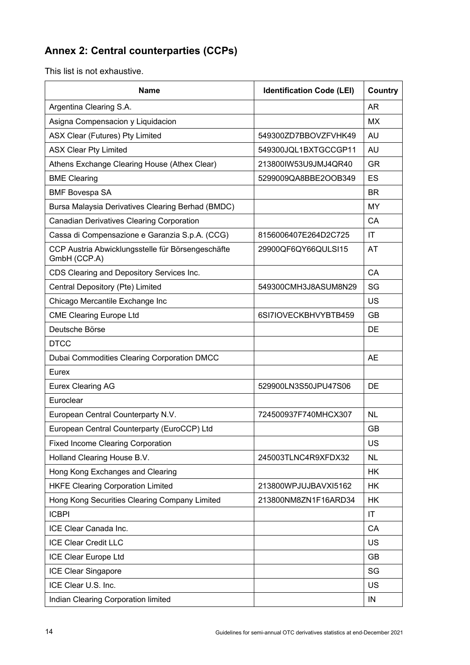# <span id="page-17-0"></span>**Annex 2: Central counterparties (CCPs)**

This list is not exhaustive.

| <b>Name</b>                                                       | <b>Identification Code (LEI)</b> | Country                |
|-------------------------------------------------------------------|----------------------------------|------------------------|
| Argentina Clearing S.A.                                           |                                  | <b>AR</b>              |
| Asigna Compensacion y Liquidacion                                 |                                  | <b>MX</b>              |
| <b>ASX Clear (Futures) Pty Limited</b>                            | 549300ZD7BBOVZFVHK49             | AU                     |
| <b>ASX Clear Pty Limited</b>                                      | 549300JQL1BXTGCCGP11             | AU                     |
| Athens Exchange Clearing House (Athex Clear)                      | 213800IW53U9JMJ4QR40             | <b>GR</b>              |
| <b>BME Clearing</b>                                               | 5299009QA8BBE2OOB349             | <b>ES</b>              |
| <b>BMF Bovespa SA</b>                                             |                                  | <b>BR</b>              |
| Bursa Malaysia Derivatives Clearing Berhad (BMDC)                 |                                  | <b>MY</b>              |
| <b>Canadian Derivatives Clearing Corporation</b>                  |                                  | СA                     |
| Cassa di Compensazione e Garanzia S.p.A. (CCG)                    | 8156006407E264D2C725             | IT                     |
| CCP Austria Abwicklungsstelle für Börsengeschäfte<br>GmbH (CCP.A) | 29900QF6QY66QULSI15              | AT                     |
| CDS Clearing and Depository Services Inc.                         |                                  | CA                     |
| Central Depository (Pte) Limited                                  | 549300CMH3J8ASUM8N29             | SG                     |
| Chicago Mercantile Exchange Inc                                   |                                  | <b>US</b>              |
| <b>CME Clearing Europe Ltd</b>                                    | 6SI7IOVECKBHVYBTB459             | <b>GB</b>              |
| Deutsche Börse                                                    |                                  | DE                     |
| <b>DTCC</b>                                                       |                                  |                        |
| Dubai Commodities Clearing Corporation DMCC                       |                                  | <b>AE</b>              |
| Eurex                                                             |                                  |                        |
| Eurex Clearing AG                                                 | 529900LN3S50JPU47S06             | DE                     |
| Euroclear                                                         |                                  |                        |
| European Central Counterparty N.V.                                | 724500937F740MHCX307             | <b>NL</b>              |
| European Central Counterparty (EuroCCP) Ltd                       |                                  | <b>GB</b>              |
| <b>Fixed Income Clearing Corporation</b>                          |                                  | US                     |
| Holland Clearing House B.V.                                       | 245003TLNC4R9XFDX32              | <b>NL</b>              |
| Hong Kong Exchanges and Clearing                                  |                                  | <b>HK</b>              |
| <b>HKFE Clearing Corporation Limited</b>                          | 213800WPJUJBAVXI5162             | <b>HK</b>              |
| Hong Kong Securities Clearing Company Limited                     | 213800NM8ZN1F16ARD34             | <b>HK</b>              |
| <b>ICBPI</b>                                                      |                                  | $\mathsf{I}\mathsf{T}$ |
| ICE Clear Canada Inc.                                             |                                  | CA                     |
| <b>ICE Clear Credit LLC</b>                                       |                                  | US                     |
| ICE Clear Europe Ltd                                              |                                  | <b>GB</b>              |
| ICE Clear Singapore                                               |                                  | SG                     |
| ICE Clear U.S. Inc.                                               |                                  | US                     |
| Indian Clearing Corporation limited                               |                                  | IN                     |